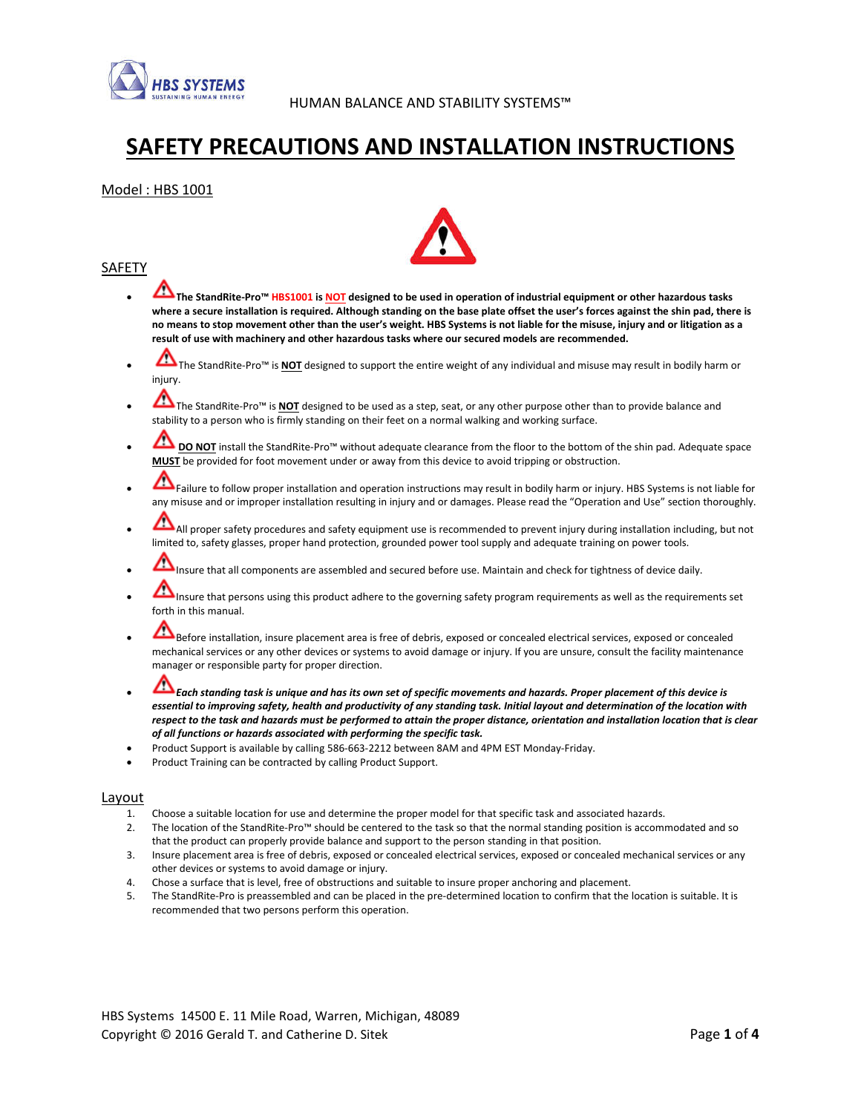

# SAFETY PRECAUTIONS AND INSTALLATION INSTRUCTIONS

## Model : HBS 1001



- The StandRite-Pro™ HBS1001 is NOT designed to be used in operation of industrial equipment or other hazardous tasks where a secure installation is required. Although standing on the base plate offset the user's forces against the shin pad, there is no means to stop movement other than the user's weight. HBS Systems is not liable for the misuse, injury and or litigation as a result of use with machinery and other hazardous tasks where our secured models are recommended.
- The StandRite-Pro™ is **NOT** designed to support the entire weight of any individual and misuse may result in bodily harm or injury.
- The StandRite-Pro™ is **NOT** designed to be used as a step, seat, or any other purpose other than to provide balance and stability to a person who is firmly standing on their feet on a normal walking and working surface.
- **DO NOT** install the StandRite-Pro™ without adequate clearance from the floor to the bottom of the shin pad. Adequate space MUST be provided for foot movement under or away from this device to avoid tripping or obstruction.
- Failure to follow proper installation and operation instructions may result in bodily harm or injury. HBS Systems is not liable for any misuse and or improper installation resulting in injury and or damages. Please read the "Operation and Use" section thoroughly.
- All proper safety procedures and safety equipment use is recommended to prevent injury during installation including, but not limited to, safety glasses, proper hand protection, grounded power tool supply and adequate training on power tools.
- Insure that all components are assembled and secured before use. Maintain and check for tightness of device daily.
- Insure that persons using this product adhere to the governing safety program requirements as well as the requirements set forth in this manual.
- Before installation, insure placement area is free of debris, exposed or concealed electrical services, exposed or concealed mechanical services or any other devices or systems to avoid damage or injury. If you are unsure, consult the facility maintenance manager or responsible party for proper direction.
- Each standing task is unique and has its own set of specific movements and hazards. Proper placement of this device is essential to improving safety, health and productivity of any standing task. Initial layout and determination of the location with respect to the task and hazards must be performed to attain the proper distance, orientation and installation location that is clear of all functions or hazards associated with performing the specific task.
- Product Support is available by calling 586-663-2212 between 8AM and 4PM EST Monday-Friday.
- Product Training can be contracted by calling Product Support.

#### Layout

- 1. Choose a suitable location for use and determine the proper model for that specific task and associated hazards.
- 2. The location of the StandRite-Pro™ should be centered to the task so that the normal standing position is accommodated and so that the product can properly provide balance and support to the person standing in that position.
- 3. Insure placement area is free of debris, exposed or concealed electrical services, exposed or concealed mechanical services or any other devices or systems to avoid damage or injury.
- 4. Chose a surface that is level, free of obstructions and suitable to insure proper anchoring and placement.
- 5. The StandRite-Pro is preassembled and can be placed in the pre-determined location to confirm that the location is suitable. It is recommended that two persons perform this operation.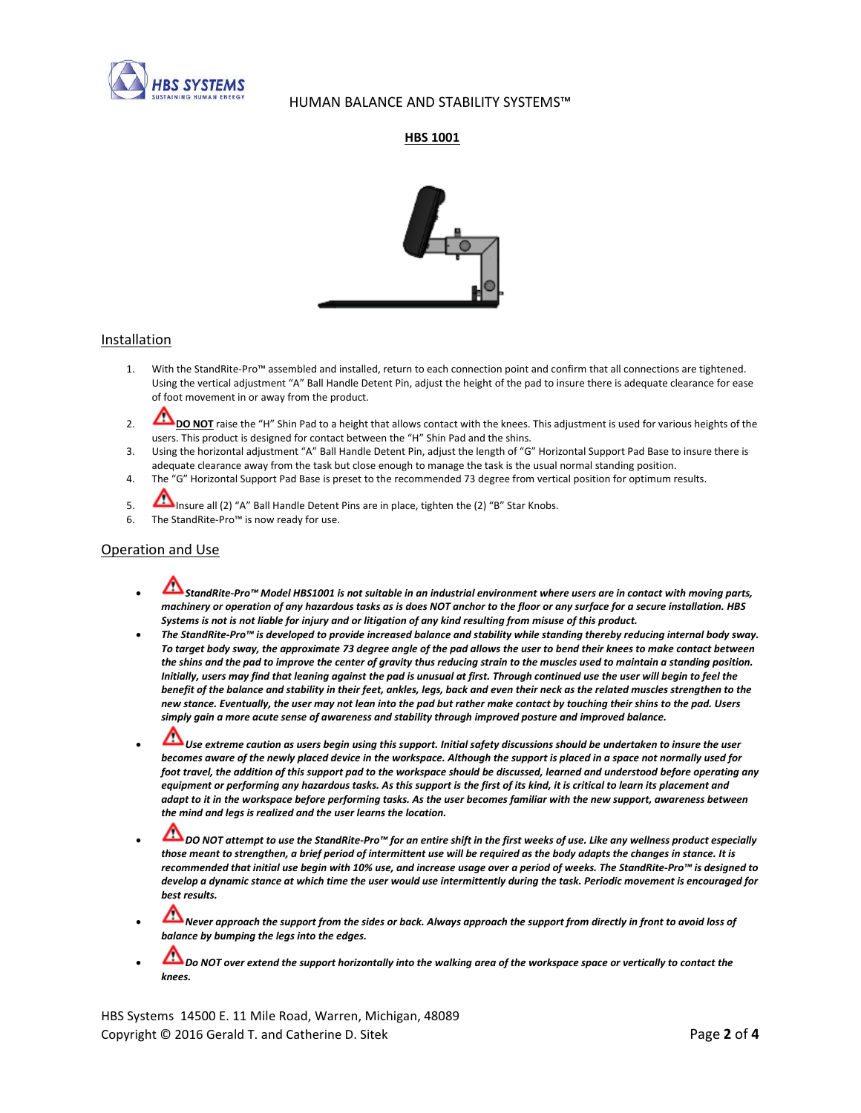

## HUMAN BALANCE AND STABILITY SYSTEMS™

## HBS 1001



#### **Installation**

- 1. With the StandRite-Pro™ assembled and installed, return to each connection point and confirm that all connections are tightened. Using the vertical adjustment "A" Ball Handle Detent Pin, adjust the height of the pad to insure there is adequate clearance for ease of foot movement in or away from the product.
- 2. DO NOT raise the "H" Shin Pad to a height that allows contact with the knees. This adjustment is used for various heights of the users. This product is designed for contact between the "H" Shin Pad and the shins.
- 3. Using the horizontal adjustment "A" Ball Handle Detent Pin, adjust the length of "G" Horizontal Support Pad Base to insure there is adequate clearance away from the task but close enough to manage the task is the usual normal standing position.
- 4. The "G" Horizontal Support Pad Base is preset to the recommended 73 degree from vertical position for optimum results.
- 5. Insure all (2) "A" Ball Handle Detent Pins are in place, tighten the (2) "B" Star Knobs.
- 6. The StandRite-Pro™ is now ready for use.

#### Operation and Use

- StandRite-Pro™ Model HBS1001 is not suitable in an industrial environment where users are in contact with moving parts, machinery or operation of any hazardous tasks as is does NOT anchor to the floor or any surface for a secure installation. HBS Systems is not is not liable for injury and or litigation of any kind resulting from misuse of this product.
- The StandRite-Pro™ is developed to provide increased balance and stability while standing thereby reducing internal body sway. To target body sway, the approximate 73 degree angle of the pad allows the user to bend their knees to make contact between the shins and the pad to improve the center of gravity thus reducing strain to the muscles used to maintain a standing position. Initially, users may find that leaning against the pad is unusual at first. Through continued use the user will begin to feel the benefit of the balance and stability in their feet, ankles, legs, back and even their neck as the related muscles strengthen to the new stance. Eventually, the user may not lean into the pad but rather make contact by touching their shins to the pad. Users simply gain a more acute sense of awareness and stability through improved posture and improved balance.
- Use extreme caution as users begin using this support. Initial safety discussions should be undertaken to insure the user becomes aware of the newly placed device in the workspace. Although the support is placed in a space not normally used for foot travel, the addition of this support pad to the workspace should be discussed, learned and understood before operating any equipment or performing any hazardous tasks. As this support is the first of its kind, it is critical to learn its placement and adapt to it in the workspace before performing tasks. As the user becomes familiar with the new support, awareness between the mind and legs is realized and the user learns the location.
- DO NOT attempt to use the StandRite-Pro™ for an entire shift in the first weeks of use. Like any wellness product especially those meant to strengthen, a brief period of intermittent use will be required as the body adapts the changes in stance. It is recommended that initial use begin with 10% use, and increase usage over a period of weeks. The StandRite-Pro™ is designed to develop a dynamic stance at which time the user would use intermittently during the task. Periodic movement is encouraged for best results.
- Never approach the support from the sides or back. Always approach the support from directly in front to avoid loss of balance by bumping the legs into the edges.
- Do NOT over extend the support horizontally into the walking area of the workspace space or vertically to contact the knees.

HBS Systems 14500 E. 11 Mile Road, Warren, Michigan, 48089 Copyright © 2016 Gerald T. and Catherine D. Sitek **Page 2 of 4** Page 2 of 4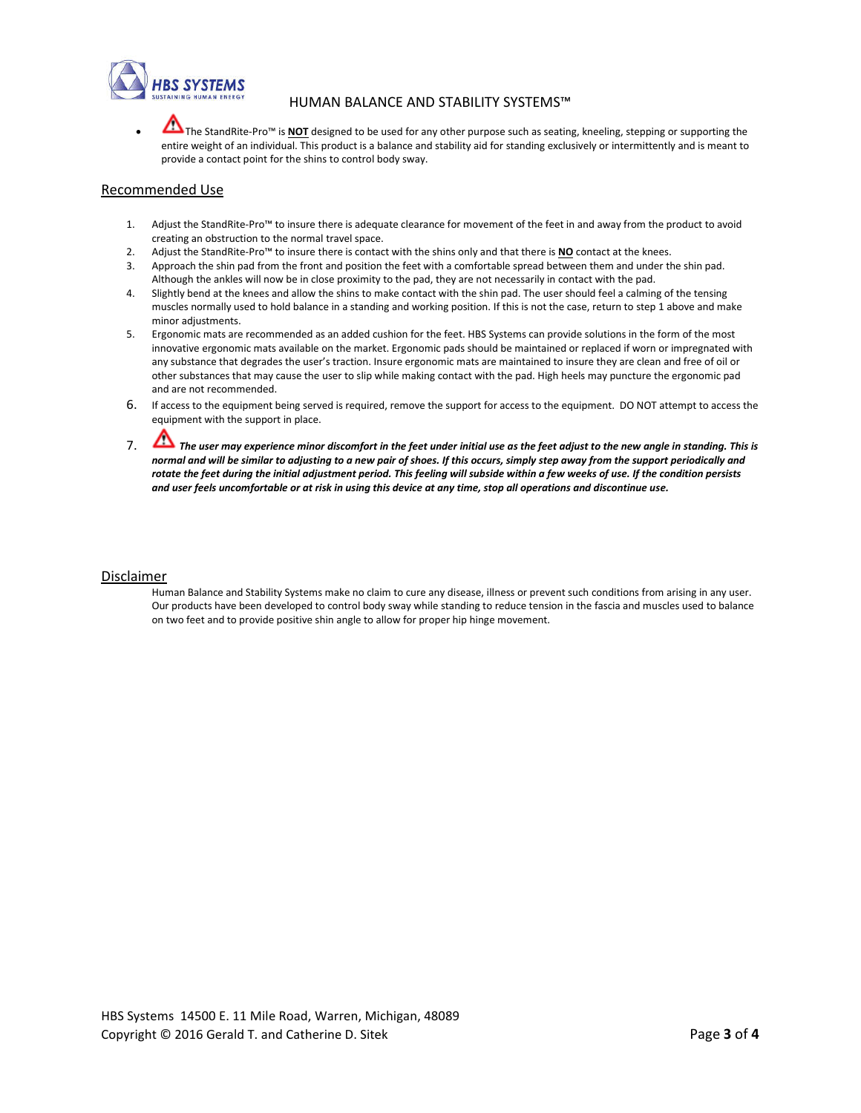

## HUMAN BALANCE AND STABILITY SYSTEMS™

The StandRite-Pro™ is NOT designed to be used for any other purpose such as seating, kneeling, stepping or supporting the entire weight of an individual. This product is a balance and stability aid for standing exclusively or intermittently and is meant to provide a contact point for the shins to control body sway.

#### Recommended Use

- 1. Adjust the StandRite-Pro™ to insure there is adequate clearance for movement of the feet in and away from the product to avoid creating an obstruction to the normal travel space.
- 2. Adjust the StandRite-Pro<sup>m</sup> to insure there is contact with the shins only and that there is **NO** contact at the knees.
- 3. Approach the shin pad from the front and position the feet with a comfortable spread between them and under the shin pad. Although the ankles will now be in close proximity to the pad, they are not necessarily in contact with the pad.
- 4. Slightly bend at the knees and allow the shins to make contact with the shin pad. The user should feel a calming of the tensing muscles normally used to hold balance in a standing and working position. If this is not the case, return to step 1 above and make minor adjustments.
- 5. Ergonomic mats are recommended as an added cushion for the feet. HBS Systems can provide solutions in the form of the most innovative ergonomic mats available on the market. Ergonomic pads should be maintained or replaced if worn or impregnated with any substance that degrades the user's traction. Insure ergonomic mats are maintained to insure they are clean and free of oil or other substances that may cause the user to slip while making contact with the pad. High heels may puncture the ergonomic pad and are not recommended.
- 6. If access to the equipment being served is required, remove the support for access to the equipment. DO NOT attempt to access the equipment with the support in place.
- 7. The user may experience minor discomfort in the feet under initial use as the feet adjust to the new angle in standing. This is normal and will be similar to adjusting to a new pair of shoes. If this occurs, simply step away from the support periodically and rotate the feet during the initial adjustment period. This feeling will subside within a few weeks of use. If the condition persists and user feels uncomfortable or at risk in using this device at any time, stop all operations and discontinue use.

#### Disclaimer

Human Balance and Stability Systems make no claim to cure any disease, illness or prevent such conditions from arising in any user. Our products have been developed to control body sway while standing to reduce tension in the fascia and muscles used to balance on two feet and to provide positive shin angle to allow for proper hip hinge movement.